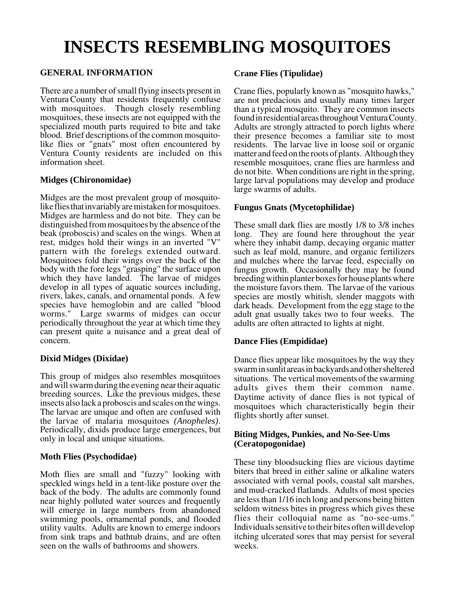# **INSECTS RESEMBLING MOSQUITOES**

# **GENERAL INFORMATION**

There are a number of small flying insects present in Ventura County that residents frequently confuse with mosquitoes. Though closely resembling mosquitoes, these insects are not equipped with the specialized mouth parts required to bite and take blood. Brief descriptions of the common mosquitolike flies or "gnats" most often encountered by Ventura County residents are included on this information sheet.

## **Midges (Chironomidae)**

Midges are the most prevalent group of mosquitolike flies that invariably are mistaken for mosquitoes. Midges are harmless and do not bite. They can be distinguished from mosquitoes by the absence of the beak (proboscis) and scales on the wings. When at rest, midges hold their wings in an inverted "V" pattern with the forelegs extended outward. Mosquitoes fold their wings over the back of the body with the fore legs "grasping" the surface upon which they have landed. The larvae of midges develop in all types of aquatic sources including, rivers, lakes, canals, and ornamental ponds. A few species have hemoglobin and are called "blood worms." Large swarms of midges can occur periodically throughout the year at which time they can present quite a nuisance and a great deal of concern.

# **Dixid Midges (Dixidae)**

This group of midges also resembles mosquitoes and will swarm during the evening near their aquatic breeding sources. Like the previous midges, these insects also lack a proboscis and scales on the wings. The larvae are unique and often are confused with the larvae of malaria mosquitoes *(Anopheles)*. Periodically, dixids produce large emergences, but only in local and unique situations.

#### **Moth Flies (Psychodidae)**

Moth flies are small and "fuzzy" looking with speckled wings held in a tent-like posture over the back of the body. The adults are commonly found near highly polluted water sources and frequently will emerge in large numbers from abandoned swimming pools, ornamental ponds, and flooded utility vaults. Adults are known to emerge indoors from sink traps and bathtub drains, and are often seen on the walls of bathrooms and showers.

## **Crane Flies (Tipulidae)**

Crane flies, popularly known as "mosquito hawks," are not predacious and usually many times larger than a typical mosquito. They are common insects found in residential areas throughout Ventura County. Adults are strongly attracted to porch lights where their presence becomes a familiar site to most residents. The larvae live in loose soil or organic matter and feed on the roots of plants. Although they resemble mosquitoes, crane flies are harmless and do not bite. When conditions are right in the spring, large larval populations may develop and produce large swarms of adults.

## **Fungus Gnats (Mycetophilidae)**

These small dark flies are mostly 1/8 to 3/8 inches long. They are found here throughout the year where they inhabit damp, decaying organic matter such as leaf mold, manure, and organic fertilizers and mulches where the larvae feed, especially on fungus growth. Occasionally they may be found breeding within planter boxes for house plants where the moisture favors them. The larvae of the various species are mostly whitish, slender maggots with dark heads. Development from the egg stage to the adult gnat usually takes two to four weeks. The adults are often attracted to lights at night.

#### **Dance Flies (Empididae)**

Dance flies appear like mosquitoes by the way they swarm in sunlit areas in backyards and other sheltered situations. The vertical movements of the swarming adults gives them their common name. Daytime activity of dance flies is not typical of mosquitoes which characteristically begin their flights shortly after sunset.

#### **Biting Midges, Punkies, and No-See-Ums (Ceratopogonidae)**

These tiny bloodsucking flies are vicious daytime biters that breed in either saline or alkaline waters associated with vernal pools, coastal salt marshes, and mud-cracked flatlands. Adults of most species are less than 1/16 inch long and persons being bitten seldom witness bites in progress which gives these flies their colloquial name as "no-see-ums." Individuals sensitive to their bites often will develop itching ulcerated sores that may persist for several weeks.